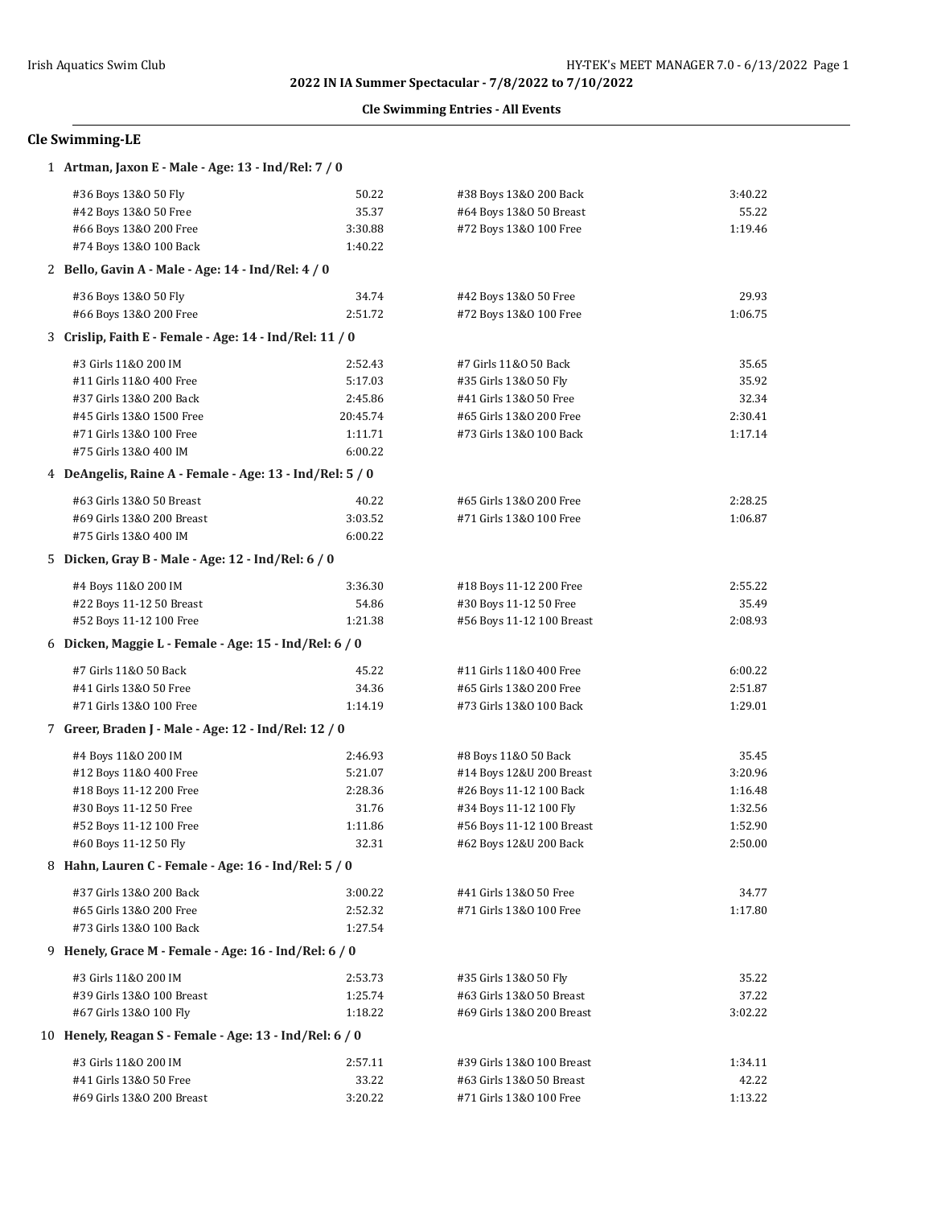## **Cle Swimming Entries - All Events**

# **Cle Swimming-LE**

| #36 Boys 13&0 50 Fly<br>50.22<br>#38 Boys 13&0 200 Back<br>#42 Boys 13&0 50 Free<br>35.37<br>#64 Boys 13&0 50 Breast<br>3:30.88<br>#72 Boys 13&0 100 Free<br>#66 Boys 13&0 200 Free<br>#74 Boys 13&0 100 Back<br>1:40.22<br>2 Bello, Gavin A - Male - Age: 14 - Ind/Rel: 4 / 0<br>#36 Boys 13&0 50 Fly<br>34.74<br>#42 Boys 13&0 50 Free<br>#66 Boys 13&0 200 Free<br>2:51.72<br>#72 Boys 13&0 100 Free<br>3 Crislip, Faith E - Female - Age: 14 - Ind/Rel: 11 / 0<br>#3 Girls 11&0 200 IM<br>#7 Girls 11&0 50 Back<br>2:52.43<br>#11 Girls 11&0 400 Free<br>5:17.03<br>#35 Girls 13&0 50 Fly<br>#37 Girls 13&0 200 Back<br>2:45.86<br>#41 Girls 13&0 50 Free<br>#45 Girls 13&0 1500 Free<br>20:45.74<br>#65 Girls 13&0 200 Free<br>#71 Girls 13&0 100 Free<br>1:11.71<br>#73 Girls 13&0 100 Back<br>#75 Girls 13&0 400 IM<br>6:00.22<br>4 DeAngelis, Raine A - Female - Age: 13 - Ind/Rel: 5 / 0<br>#63 Girls 13&0 50 Breast<br>40.22<br>#65 Girls 13&0 200 Free<br>3:03.52<br>#69 Girls 13&0 200 Breast<br>#71 Girls 13&0 100 Free<br>#75 Girls 13&0 400 IM<br>6:00.22<br>5 Dicken, Gray B - Male - Age: 12 - Ind/Rel: 6 / 0<br>#4 Boys 11&0 200 IM<br>3:36.30<br>#18 Boys 11-12 200 Free<br>54.86<br>#22 Boys 11-12 50 Breast<br>#30 Boys 11-12 50 Free<br>#52 Boys 11-12 100 Free<br>1:21.38<br>#56 Boys 11-12 100 Breast<br>6 Dicken, Maggie L - Female - Age: 15 - Ind/Rel: 6 / 0<br>#7 Girls 11&0 50 Back<br>45.22<br>#11 Girls 11&0 400 Free<br>#41 Girls 13&0 50 Free<br>34.36<br>#65 Girls 13&0 200 Free<br>#71 Girls 13&0 100 Free<br>1:14.19<br>#73 Girls 13&0 100 Back<br>7 Greer, Braden J - Male - Age: 12 - Ind/Rel: 12 / 0<br>#4 Boys 11&0 200 IM<br>2:46.93<br>#8 Boys 11&0 50 Back<br>#12 Boys 11&0 400 Free<br>5:21.07<br>#14 Boys 12&U 200 Breast<br>#18 Boys 11-12 200 Free<br>2:28.36<br>#26 Boys 11-12 100 Back<br>#30 Boys 11-12 50 Free<br>31.76<br>#34 Boys 11-12 100 Fly<br>#52 Boys 11-12 100 Free<br>1:11.86<br>#56 Boys 11-12 100 Breast<br>#60 Boys 11-12 50 Fly<br>32.31<br>#62 Boys 12&U 200 Back<br>8 Hahn, Lauren C - Female - Age: 16 - Ind/Rel: 5 / 0<br>#37 Girls 13&0 200 Back<br>3:00.22<br>#41 Girls 13&0 50 Free<br>#65 Girls 13&0 200 Free<br>2:52.32<br>#71 Girls 13&0 100 Free<br>#73 Girls 13&0 100 Back<br>1:27.54 | 1 Artman, Jaxon E - Male - Age: 13 - Ind/Rel: 7 / 0 |  |         |
|--------------------------------------------------------------------------------------------------------------------------------------------------------------------------------------------------------------------------------------------------------------------------------------------------------------------------------------------------------------------------------------------------------------------------------------------------------------------------------------------------------------------------------------------------------------------------------------------------------------------------------------------------------------------------------------------------------------------------------------------------------------------------------------------------------------------------------------------------------------------------------------------------------------------------------------------------------------------------------------------------------------------------------------------------------------------------------------------------------------------------------------------------------------------------------------------------------------------------------------------------------------------------------------------------------------------------------------------------------------------------------------------------------------------------------------------------------------------------------------------------------------------------------------------------------------------------------------------------------------------------------------------------------------------------------------------------------------------------------------------------------------------------------------------------------------------------------------------------------------------------------------------------------------------------------------------------------------------------------------------------------------------------------------------------------------------------------------------------------------------------------------------------------------------------------------------------------------------------------------------------------------------|-----------------------------------------------------|--|---------|
|                                                                                                                                                                                                                                                                                                                                                                                                                                                                                                                                                                                                                                                                                                                                                                                                                                                                                                                                                                                                                                                                                                                                                                                                                                                                                                                                                                                                                                                                                                                                                                                                                                                                                                                                                                                                                                                                                                                                                                                                                                                                                                                                                                                                                                                                    |                                                     |  | 3:40.22 |
|                                                                                                                                                                                                                                                                                                                                                                                                                                                                                                                                                                                                                                                                                                                                                                                                                                                                                                                                                                                                                                                                                                                                                                                                                                                                                                                                                                                                                                                                                                                                                                                                                                                                                                                                                                                                                                                                                                                                                                                                                                                                                                                                                                                                                                                                    |                                                     |  | 55.22   |
|                                                                                                                                                                                                                                                                                                                                                                                                                                                                                                                                                                                                                                                                                                                                                                                                                                                                                                                                                                                                                                                                                                                                                                                                                                                                                                                                                                                                                                                                                                                                                                                                                                                                                                                                                                                                                                                                                                                                                                                                                                                                                                                                                                                                                                                                    |                                                     |  | 1:19.46 |
|                                                                                                                                                                                                                                                                                                                                                                                                                                                                                                                                                                                                                                                                                                                                                                                                                                                                                                                                                                                                                                                                                                                                                                                                                                                                                                                                                                                                                                                                                                                                                                                                                                                                                                                                                                                                                                                                                                                                                                                                                                                                                                                                                                                                                                                                    |                                                     |  |         |
|                                                                                                                                                                                                                                                                                                                                                                                                                                                                                                                                                                                                                                                                                                                                                                                                                                                                                                                                                                                                                                                                                                                                                                                                                                                                                                                                                                                                                                                                                                                                                                                                                                                                                                                                                                                                                                                                                                                                                                                                                                                                                                                                                                                                                                                                    |                                                     |  |         |
|                                                                                                                                                                                                                                                                                                                                                                                                                                                                                                                                                                                                                                                                                                                                                                                                                                                                                                                                                                                                                                                                                                                                                                                                                                                                                                                                                                                                                                                                                                                                                                                                                                                                                                                                                                                                                                                                                                                                                                                                                                                                                                                                                                                                                                                                    |                                                     |  | 29.93   |
|                                                                                                                                                                                                                                                                                                                                                                                                                                                                                                                                                                                                                                                                                                                                                                                                                                                                                                                                                                                                                                                                                                                                                                                                                                                                                                                                                                                                                                                                                                                                                                                                                                                                                                                                                                                                                                                                                                                                                                                                                                                                                                                                                                                                                                                                    |                                                     |  | 1:06.75 |
|                                                                                                                                                                                                                                                                                                                                                                                                                                                                                                                                                                                                                                                                                                                                                                                                                                                                                                                                                                                                                                                                                                                                                                                                                                                                                                                                                                                                                                                                                                                                                                                                                                                                                                                                                                                                                                                                                                                                                                                                                                                                                                                                                                                                                                                                    |                                                     |  |         |
|                                                                                                                                                                                                                                                                                                                                                                                                                                                                                                                                                                                                                                                                                                                                                                                                                                                                                                                                                                                                                                                                                                                                                                                                                                                                                                                                                                                                                                                                                                                                                                                                                                                                                                                                                                                                                                                                                                                                                                                                                                                                                                                                                                                                                                                                    |                                                     |  | 35.65   |
|                                                                                                                                                                                                                                                                                                                                                                                                                                                                                                                                                                                                                                                                                                                                                                                                                                                                                                                                                                                                                                                                                                                                                                                                                                                                                                                                                                                                                                                                                                                                                                                                                                                                                                                                                                                                                                                                                                                                                                                                                                                                                                                                                                                                                                                                    |                                                     |  | 35.92   |
|                                                                                                                                                                                                                                                                                                                                                                                                                                                                                                                                                                                                                                                                                                                                                                                                                                                                                                                                                                                                                                                                                                                                                                                                                                                                                                                                                                                                                                                                                                                                                                                                                                                                                                                                                                                                                                                                                                                                                                                                                                                                                                                                                                                                                                                                    |                                                     |  | 32.34   |
|                                                                                                                                                                                                                                                                                                                                                                                                                                                                                                                                                                                                                                                                                                                                                                                                                                                                                                                                                                                                                                                                                                                                                                                                                                                                                                                                                                                                                                                                                                                                                                                                                                                                                                                                                                                                                                                                                                                                                                                                                                                                                                                                                                                                                                                                    |                                                     |  | 2:30.41 |
|                                                                                                                                                                                                                                                                                                                                                                                                                                                                                                                                                                                                                                                                                                                                                                                                                                                                                                                                                                                                                                                                                                                                                                                                                                                                                                                                                                                                                                                                                                                                                                                                                                                                                                                                                                                                                                                                                                                                                                                                                                                                                                                                                                                                                                                                    |                                                     |  | 1:17.14 |
|                                                                                                                                                                                                                                                                                                                                                                                                                                                                                                                                                                                                                                                                                                                                                                                                                                                                                                                                                                                                                                                                                                                                                                                                                                                                                                                                                                                                                                                                                                                                                                                                                                                                                                                                                                                                                                                                                                                                                                                                                                                                                                                                                                                                                                                                    |                                                     |  |         |
|                                                                                                                                                                                                                                                                                                                                                                                                                                                                                                                                                                                                                                                                                                                                                                                                                                                                                                                                                                                                                                                                                                                                                                                                                                                                                                                                                                                                                                                                                                                                                                                                                                                                                                                                                                                                                                                                                                                                                                                                                                                                                                                                                                                                                                                                    |                                                     |  |         |
|                                                                                                                                                                                                                                                                                                                                                                                                                                                                                                                                                                                                                                                                                                                                                                                                                                                                                                                                                                                                                                                                                                                                                                                                                                                                                                                                                                                                                                                                                                                                                                                                                                                                                                                                                                                                                                                                                                                                                                                                                                                                                                                                                                                                                                                                    |                                                     |  | 2:28.25 |
|                                                                                                                                                                                                                                                                                                                                                                                                                                                                                                                                                                                                                                                                                                                                                                                                                                                                                                                                                                                                                                                                                                                                                                                                                                                                                                                                                                                                                                                                                                                                                                                                                                                                                                                                                                                                                                                                                                                                                                                                                                                                                                                                                                                                                                                                    |                                                     |  | 1:06.87 |
|                                                                                                                                                                                                                                                                                                                                                                                                                                                                                                                                                                                                                                                                                                                                                                                                                                                                                                                                                                                                                                                                                                                                                                                                                                                                                                                                                                                                                                                                                                                                                                                                                                                                                                                                                                                                                                                                                                                                                                                                                                                                                                                                                                                                                                                                    |                                                     |  |         |
|                                                                                                                                                                                                                                                                                                                                                                                                                                                                                                                                                                                                                                                                                                                                                                                                                                                                                                                                                                                                                                                                                                                                                                                                                                                                                                                                                                                                                                                                                                                                                                                                                                                                                                                                                                                                                                                                                                                                                                                                                                                                                                                                                                                                                                                                    |                                                     |  |         |
|                                                                                                                                                                                                                                                                                                                                                                                                                                                                                                                                                                                                                                                                                                                                                                                                                                                                                                                                                                                                                                                                                                                                                                                                                                                                                                                                                                                                                                                                                                                                                                                                                                                                                                                                                                                                                                                                                                                                                                                                                                                                                                                                                                                                                                                                    |                                                     |  | 2:55.22 |
|                                                                                                                                                                                                                                                                                                                                                                                                                                                                                                                                                                                                                                                                                                                                                                                                                                                                                                                                                                                                                                                                                                                                                                                                                                                                                                                                                                                                                                                                                                                                                                                                                                                                                                                                                                                                                                                                                                                                                                                                                                                                                                                                                                                                                                                                    |                                                     |  | 35.49   |
|                                                                                                                                                                                                                                                                                                                                                                                                                                                                                                                                                                                                                                                                                                                                                                                                                                                                                                                                                                                                                                                                                                                                                                                                                                                                                                                                                                                                                                                                                                                                                                                                                                                                                                                                                                                                                                                                                                                                                                                                                                                                                                                                                                                                                                                                    |                                                     |  | 2:08.93 |
|                                                                                                                                                                                                                                                                                                                                                                                                                                                                                                                                                                                                                                                                                                                                                                                                                                                                                                                                                                                                                                                                                                                                                                                                                                                                                                                                                                                                                                                                                                                                                                                                                                                                                                                                                                                                                                                                                                                                                                                                                                                                                                                                                                                                                                                                    |                                                     |  |         |
|                                                                                                                                                                                                                                                                                                                                                                                                                                                                                                                                                                                                                                                                                                                                                                                                                                                                                                                                                                                                                                                                                                                                                                                                                                                                                                                                                                                                                                                                                                                                                                                                                                                                                                                                                                                                                                                                                                                                                                                                                                                                                                                                                                                                                                                                    |                                                     |  | 6:00.22 |
|                                                                                                                                                                                                                                                                                                                                                                                                                                                                                                                                                                                                                                                                                                                                                                                                                                                                                                                                                                                                                                                                                                                                                                                                                                                                                                                                                                                                                                                                                                                                                                                                                                                                                                                                                                                                                                                                                                                                                                                                                                                                                                                                                                                                                                                                    |                                                     |  | 2:51.87 |
|                                                                                                                                                                                                                                                                                                                                                                                                                                                                                                                                                                                                                                                                                                                                                                                                                                                                                                                                                                                                                                                                                                                                                                                                                                                                                                                                                                                                                                                                                                                                                                                                                                                                                                                                                                                                                                                                                                                                                                                                                                                                                                                                                                                                                                                                    |                                                     |  | 1:29.01 |
|                                                                                                                                                                                                                                                                                                                                                                                                                                                                                                                                                                                                                                                                                                                                                                                                                                                                                                                                                                                                                                                                                                                                                                                                                                                                                                                                                                                                                                                                                                                                                                                                                                                                                                                                                                                                                                                                                                                                                                                                                                                                                                                                                                                                                                                                    |                                                     |  |         |
|                                                                                                                                                                                                                                                                                                                                                                                                                                                                                                                                                                                                                                                                                                                                                                                                                                                                                                                                                                                                                                                                                                                                                                                                                                                                                                                                                                                                                                                                                                                                                                                                                                                                                                                                                                                                                                                                                                                                                                                                                                                                                                                                                                                                                                                                    |                                                     |  | 35.45   |
|                                                                                                                                                                                                                                                                                                                                                                                                                                                                                                                                                                                                                                                                                                                                                                                                                                                                                                                                                                                                                                                                                                                                                                                                                                                                                                                                                                                                                                                                                                                                                                                                                                                                                                                                                                                                                                                                                                                                                                                                                                                                                                                                                                                                                                                                    |                                                     |  | 3:20.96 |
|                                                                                                                                                                                                                                                                                                                                                                                                                                                                                                                                                                                                                                                                                                                                                                                                                                                                                                                                                                                                                                                                                                                                                                                                                                                                                                                                                                                                                                                                                                                                                                                                                                                                                                                                                                                                                                                                                                                                                                                                                                                                                                                                                                                                                                                                    |                                                     |  | 1:16.48 |
|                                                                                                                                                                                                                                                                                                                                                                                                                                                                                                                                                                                                                                                                                                                                                                                                                                                                                                                                                                                                                                                                                                                                                                                                                                                                                                                                                                                                                                                                                                                                                                                                                                                                                                                                                                                                                                                                                                                                                                                                                                                                                                                                                                                                                                                                    |                                                     |  | 1:32.56 |
|                                                                                                                                                                                                                                                                                                                                                                                                                                                                                                                                                                                                                                                                                                                                                                                                                                                                                                                                                                                                                                                                                                                                                                                                                                                                                                                                                                                                                                                                                                                                                                                                                                                                                                                                                                                                                                                                                                                                                                                                                                                                                                                                                                                                                                                                    |                                                     |  | 1:52.90 |
|                                                                                                                                                                                                                                                                                                                                                                                                                                                                                                                                                                                                                                                                                                                                                                                                                                                                                                                                                                                                                                                                                                                                                                                                                                                                                                                                                                                                                                                                                                                                                                                                                                                                                                                                                                                                                                                                                                                                                                                                                                                                                                                                                                                                                                                                    |                                                     |  | 2:50.00 |
|                                                                                                                                                                                                                                                                                                                                                                                                                                                                                                                                                                                                                                                                                                                                                                                                                                                                                                                                                                                                                                                                                                                                                                                                                                                                                                                                                                                                                                                                                                                                                                                                                                                                                                                                                                                                                                                                                                                                                                                                                                                                                                                                                                                                                                                                    |                                                     |  |         |
|                                                                                                                                                                                                                                                                                                                                                                                                                                                                                                                                                                                                                                                                                                                                                                                                                                                                                                                                                                                                                                                                                                                                                                                                                                                                                                                                                                                                                                                                                                                                                                                                                                                                                                                                                                                                                                                                                                                                                                                                                                                                                                                                                                                                                                                                    |                                                     |  | 34.77   |
|                                                                                                                                                                                                                                                                                                                                                                                                                                                                                                                                                                                                                                                                                                                                                                                                                                                                                                                                                                                                                                                                                                                                                                                                                                                                                                                                                                                                                                                                                                                                                                                                                                                                                                                                                                                                                                                                                                                                                                                                                                                                                                                                                                                                                                                                    |                                                     |  | 1:17.80 |
|                                                                                                                                                                                                                                                                                                                                                                                                                                                                                                                                                                                                                                                                                                                                                                                                                                                                                                                                                                                                                                                                                                                                                                                                                                                                                                                                                                                                                                                                                                                                                                                                                                                                                                                                                                                                                                                                                                                                                                                                                                                                                                                                                                                                                                                                    |                                                     |  |         |
| 9 Henely, Grace M - Female - Age: 16 - Ind/Rel: 6 / 0                                                                                                                                                                                                                                                                                                                                                                                                                                                                                                                                                                                                                                                                                                                                                                                                                                                                                                                                                                                                                                                                                                                                                                                                                                                                                                                                                                                                                                                                                                                                                                                                                                                                                                                                                                                                                                                                                                                                                                                                                                                                                                                                                                                                              |                                                     |  |         |
| #3 Girls 11&0 200 IM<br>2:53.73<br>#35 Girls 13&0 50 Fly                                                                                                                                                                                                                                                                                                                                                                                                                                                                                                                                                                                                                                                                                                                                                                                                                                                                                                                                                                                                                                                                                                                                                                                                                                                                                                                                                                                                                                                                                                                                                                                                                                                                                                                                                                                                                                                                                                                                                                                                                                                                                                                                                                                                           |                                                     |  | 35.22   |
| #39 Girls 13&0 100 Breast<br>1:25.74<br>#63 Girls 13&0 50 Breast                                                                                                                                                                                                                                                                                                                                                                                                                                                                                                                                                                                                                                                                                                                                                                                                                                                                                                                                                                                                                                                                                                                                                                                                                                                                                                                                                                                                                                                                                                                                                                                                                                                                                                                                                                                                                                                                                                                                                                                                                                                                                                                                                                                                   |                                                     |  | 37.22   |
| #67 Girls 13&0 100 Fly<br>1:18.22<br>#69 Girls 13&0 200 Breast                                                                                                                                                                                                                                                                                                                                                                                                                                                                                                                                                                                                                                                                                                                                                                                                                                                                                                                                                                                                                                                                                                                                                                                                                                                                                                                                                                                                                                                                                                                                                                                                                                                                                                                                                                                                                                                                                                                                                                                                                                                                                                                                                                                                     |                                                     |  | 3:02.22 |
| 10 Henely, Reagan S - Female - Age: 13 - Ind/Rel: 6 / 0                                                                                                                                                                                                                                                                                                                                                                                                                                                                                                                                                                                                                                                                                                                                                                                                                                                                                                                                                                                                                                                                                                                                                                                                                                                                                                                                                                                                                                                                                                                                                                                                                                                                                                                                                                                                                                                                                                                                                                                                                                                                                                                                                                                                            |                                                     |  |         |
| #3 Girls 11&0 200 IM<br>#39 Girls 13&0 100 Breast<br>2:57.11                                                                                                                                                                                                                                                                                                                                                                                                                                                                                                                                                                                                                                                                                                                                                                                                                                                                                                                                                                                                                                                                                                                                                                                                                                                                                                                                                                                                                                                                                                                                                                                                                                                                                                                                                                                                                                                                                                                                                                                                                                                                                                                                                                                                       |                                                     |  | 1:34.11 |
| #41 Girls 13&0 50 Free<br>33.22<br>#63 Girls 13&0 50 Breast                                                                                                                                                                                                                                                                                                                                                                                                                                                                                                                                                                                                                                                                                                                                                                                                                                                                                                                                                                                                                                                                                                                                                                                                                                                                                                                                                                                                                                                                                                                                                                                                                                                                                                                                                                                                                                                                                                                                                                                                                                                                                                                                                                                                        |                                                     |  | 42.22   |
| #69 Girls 13&0 200 Breast<br>3:20.22<br>#71 Girls 13&0 100 Free                                                                                                                                                                                                                                                                                                                                                                                                                                                                                                                                                                                                                                                                                                                                                                                                                                                                                                                                                                                                                                                                                                                                                                                                                                                                                                                                                                                                                                                                                                                                                                                                                                                                                                                                                                                                                                                                                                                                                                                                                                                                                                                                                                                                    |                                                     |  | 1:13.22 |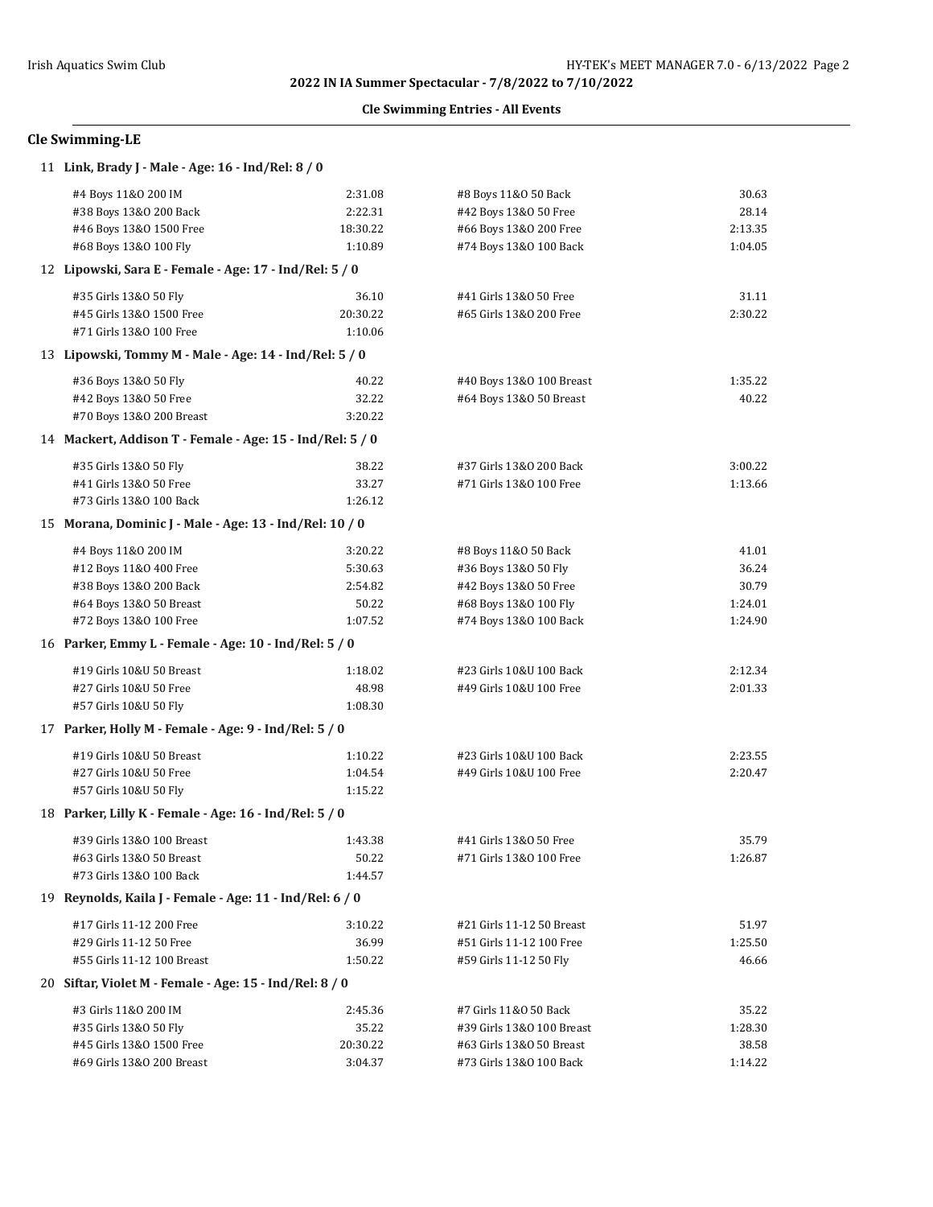## **Cle Swimming Entries - All Events**

# **Cle Swimming-LE**

| 11 Link, Brady J - Male - Age: 16 - Ind/Rel: 8 / 0        |          |                           |         |
|-----------------------------------------------------------|----------|---------------------------|---------|
| #4 Boys 11&0 200 IM                                       | 2:31.08  | #8 Boys 11&0 50 Back      | 30.63   |
| #38 Boys 13&0 200 Back                                    | 2:22.31  | #42 Boys 13&0 50 Free     | 28.14   |
| #46 Boys 13&0 1500 Free                                   | 18:30.22 | #66 Boys 13&0 200 Free    | 2:13.35 |
| #68 Boys 13&0 100 Fly                                     | 1:10.89  | #74 Boys 13&0 100 Back    | 1:04.05 |
| 12 Lipowski, Sara E - Female - Age: 17 - Ind/Rel: 5 / 0   |          |                           |         |
| #35 Girls 13&0 50 Fly                                     | 36.10    | #41 Girls 13&0 50 Free    | 31.11   |
| #45 Girls 13&0 1500 Free                                  | 20:30.22 | #65 Girls 13&0 200 Free   | 2:30.22 |
| #71 Girls 13&0 100 Free                                   | 1:10.06  |                           |         |
| 13 Lipowski, Tommy M - Male - Age: 14 - Ind/Rel: 5 / 0    |          |                           |         |
| #36 Boys 13&0 50 Fly                                      | 40.22    | #40 Boys 13&0 100 Breast  | 1:35.22 |
| #42 Boys 13&0 50 Free                                     | 32.22    | #64 Boys 13&0 50 Breast   | 40.22   |
| #70 Boys 13&0 200 Breast                                  | 3:20.22  |                           |         |
| 14 Mackert, Addison T - Female - Age: 15 - Ind/Rel: 5 / 0 |          |                           |         |
| #35 Girls 13&0 50 Fly                                     | 38.22    | #37 Girls 13&0 200 Back   | 3:00.22 |
| #41 Girls 13&0 50 Free                                    | 33.27    | #71 Girls 13&0 100 Free   | 1:13.66 |
| #73 Girls 13&0 100 Back                                   | 1:26.12  |                           |         |
| 15 Morana, Dominic J - Male - Age: 13 - Ind/Rel: 10 / 0   |          |                           |         |
| #4 Boys 11&0 200 IM                                       | 3:20.22  | #8 Boys 11&0 50 Back      | 41.01   |
| #12 Boys 11&0 400 Free                                    | 5:30.63  | #36 Boys 13&0 50 Fly      | 36.24   |
| #38 Boys 13&0 200 Back                                    | 2:54.82  | #42 Boys 13&0 50 Free     | 30.79   |
| #64 Boys 13&0 50 Breast                                   | 50.22    | #68 Boys 13&0 100 Fly     | 1:24.01 |
| #72 Boys 13&0 100 Free                                    | 1:07.52  | #74 Boys 13&0 100 Back    | 1:24.90 |
| 16 Parker, Emmy L - Female - Age: 10 - Ind/Rel: 5 / 0     |          |                           |         |
| #19 Girls 10&U 50 Breast                                  | 1:18.02  | #23 Girls 10&U 100 Back   | 2:12.34 |
| #27 Girls 10&U 50 Free                                    | 48.98    | #49 Girls 10&U 100 Free   | 2:01.33 |
| #57 Girls 10&U 50 Fly                                     | 1:08.30  |                           |         |
| 17 Parker, Holly M - Female - Age: 9 - Ind/Rel: 5 / 0     |          |                           |         |
| #19 Girls 10&U 50 Breast                                  | 1:10.22  | #23 Girls 10&U 100 Back   | 2:23.55 |
| #27 Girls 10&U 50 Free                                    | 1:04.54  | #49 Girls 10&U 100 Free   | 2:20.47 |
| #57 Girls 10&U 50 Fly                                     | 1:15.22  |                           |         |
| 18 Parker, Lilly K - Female - Age: 16 - Ind/Rel: 5 / 0    |          |                           |         |
| #39 Girls 13&0 100 Breast                                 | 1:43.38  | #41 Girls 13&0 50 Free    | 35.79   |
| #63 Girls 13&0 50 Breast                                  | 50.22    | #71 Girls 13&0 100 Free   | 1:26.87 |
| #73 Girls 13&0 100 Back                                   | 1:44.57  |                           |         |
| 19 Reynolds, Kaila J - Female - Age: 11 - Ind/Rel: 6 / 0  |          |                           |         |
| #17 Girls 11-12 200 Free                                  | 3:10.22  | #21 Girls 11-12 50 Breast | 51.97   |
| #29 Girls 11-12 50 Free                                   | 36.99    | #51 Girls 11-12 100 Free  | 1:25.50 |
| #55 Girls 11-12 100 Breast                                | 1:50.22  | #59 Girls 11-12 50 Fly    | 46.66   |
| 20 Siftar, Violet M - Female - Age: 15 - Ind/Rel: 8 / 0   |          |                           |         |
| #3 Girls 11&0 200 IM                                      | 2:45.36  | #7 Girls 11&0 50 Back     | 35.22   |
| #35 Girls 13&0 50 Fly                                     | 35.22    | #39 Girls 13&0 100 Breast | 1:28.30 |
| #45 Girls 13&0 1500 Free                                  | 20:30.22 | #63 Girls 13&0 50 Breast  | 38.58   |
| #69 Girls 13&0 200 Breast                                 | 3:04.37  | #73 Girls 13&0 100 Back   | 1:14.22 |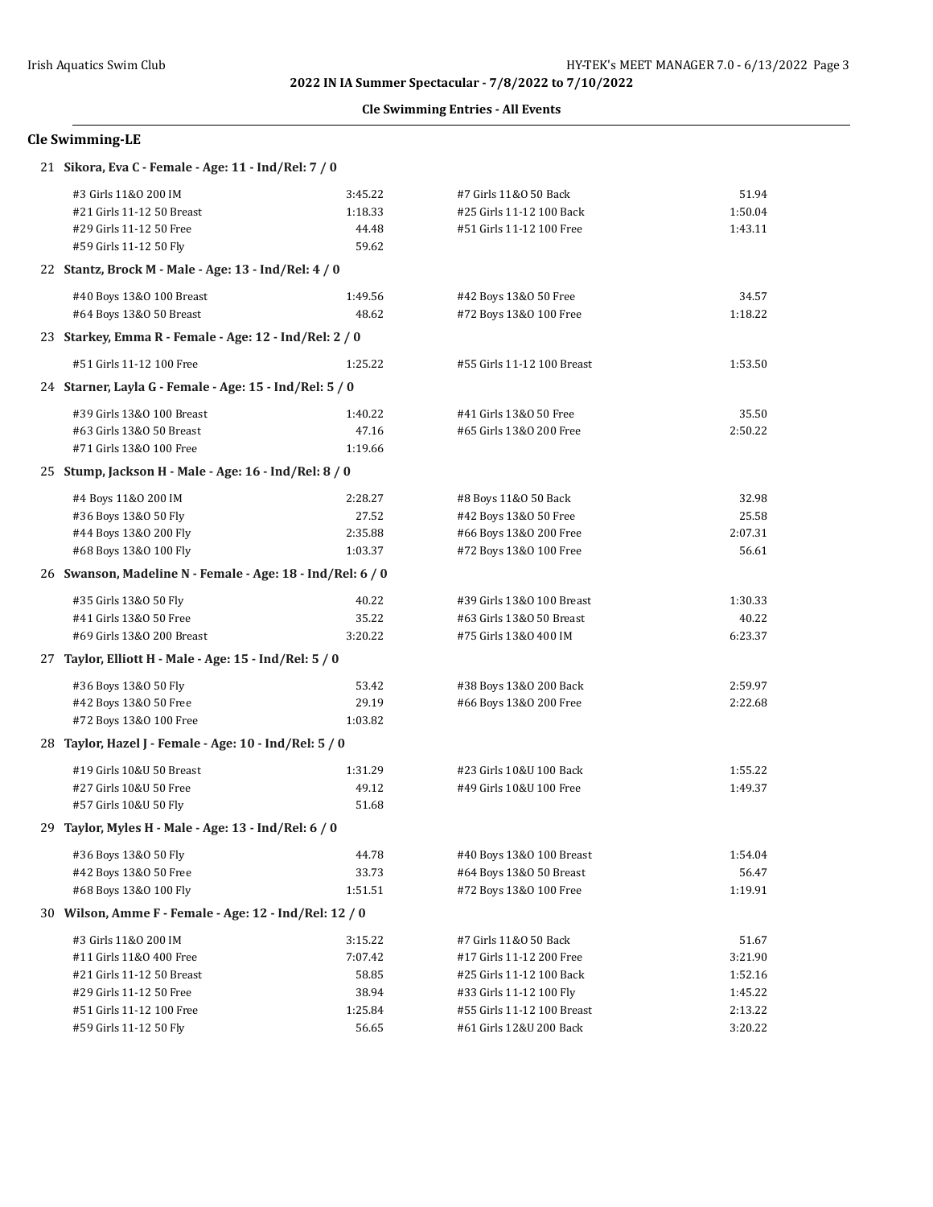## **Cle Swimming Entries - All Events**

# **Cle Swimming-LE**

| 21 Sikora, Eva C - Female - Age: 11 - Ind/Rel: 7 / 0       |         |                            |         |
|------------------------------------------------------------|---------|----------------------------|---------|
| #3 Girls 11&0 200 IM                                       | 3:45.22 | #7 Girls 11&0 50 Back      | 51.94   |
| #21 Girls 11-12 50 Breast                                  | 1:18.33 | #25 Girls 11-12 100 Back   | 1:50.04 |
| #29 Girls 11-12 50 Free                                    | 44.48   | #51 Girls 11-12 100 Free   | 1:43.11 |
| #59 Girls 11-12 50 Fly                                     | 59.62   |                            |         |
| 22 Stantz, Brock M - Male - Age: 13 - Ind/Rel: 4 / 0       |         |                            |         |
| #40 Boys 13&0 100 Breast                                   | 1:49.56 | #42 Boys 13&0 50 Free      | 34.57   |
| #64 Boys 13&0 50 Breast                                    | 48.62   | #72 Boys 13&0 100 Free     | 1:18.22 |
| 23 Starkey, Emma R - Female - Age: 12 - Ind/Rel: 2 / 0     |         |                            |         |
| #51 Girls 11-12 100 Free                                   | 1:25.22 | #55 Girls 11-12 100 Breast | 1:53.50 |
| 24 Starner, Layla G - Female - Age: 15 - Ind/Rel: 5 / 0    |         |                            |         |
| #39 Girls 13&0 100 Breast                                  | 1:40.22 | #41 Girls 13&0 50 Free     | 35.50   |
| #63 Girls 13&0 50 Breast                                   | 47.16   | #65 Girls 13&0 200 Free    | 2:50.22 |
| #71 Girls 13&0 100 Free                                    | 1:19.66 |                            |         |
| 25 Stump, Jackson H - Male - Age: 16 - Ind/Rel: 8 / 0      |         |                            |         |
| #4 Boys 11&0 200 IM                                        | 2:28.27 | #8 Boys 11&0 50 Back       | 32.98   |
| #36 Boys 13&0 50 Fly                                       | 27.52   | #42 Boys 13&0 50 Free      | 25.58   |
| #44 Boys 13&0 200 Fly                                      | 2:35.88 | #66 Boys 13&0 200 Free     | 2:07.31 |
| #68 Boys 13&0 100 Fly                                      | 1:03.37 | #72 Boys 13&0 100 Free     | 56.61   |
| 26 Swanson, Madeline N - Female - Age: 18 - Ind/Rel: 6 / 0 |         |                            |         |
| #35 Girls 13&0 50 Fly                                      | 40.22   | #39 Girls 13&0 100 Breast  | 1:30.33 |
| #41 Girls 13&0 50 Free                                     | 35.22   | #63 Girls 13&0 50 Breast   | 40.22   |
| #69 Girls 13&0 200 Breast                                  | 3:20.22 | #75 Girls 13&0 400 IM      | 6:23.37 |
| 27 Taylor, Elliott H - Male - Age: 15 - Ind/Rel: 5 / 0     |         |                            |         |
| #36 Boys 13&0 50 Fly                                       | 53.42   | #38 Boys 13&0 200 Back     | 2:59.97 |
| #42 Boys 13&0 50 Free                                      | 29.19   | #66 Boys 13&0 200 Free     | 2:22.68 |
| #72 Boys 13&0 100 Free                                     | 1:03.82 |                            |         |
| 28 Taylor, Hazel J - Female - Age: 10 - Ind/Rel: 5 / 0     |         |                            |         |
| #19 Girls 10&U 50 Breast                                   | 1:31.29 | #23 Girls 10&U 100 Back    | 1:55.22 |
| #27 Girls 10&U 50 Free                                     | 49.12   | #49 Girls 10&U 100 Free    | 1:49.37 |
| #57 Girls 10&U 50 Fly                                      | 51.68   |                            |         |
| 29 Taylor, Myles H - Male - Age: 13 - Ind/Rel: 6 / 0       |         |                            |         |
| #36 Boys 13&0 50 Fly                                       | 44.78   | #40 Boys 13&0 100 Breast   | 1:54.04 |
| #42 Boys 13&0 50 Free                                      | 33.73   | #64 Boys 13&0 50 Breast    | 56.47   |
| #68 Boys 13&0 100 Fly                                      | 1:51.51 | #72 Boys 13&0 100 Free     | 1:19.91 |
| 30 Wilson, Amme F - Female - Age: 12 - Ind/Rel: 12 / 0     |         |                            |         |
| #3 Girls 11&0 200 IM                                       | 3:15.22 | #7 Girls 11&0 50 Back      | 51.67   |
| #11 Girls 11&0 400 Free                                    | 7:07.42 | #17 Girls 11-12 200 Free   | 3:21.90 |
| #21 Girls 11-12 50 Breast                                  | 58.85   | #25 Girls 11-12 100 Back   | 1:52.16 |
| #29 Girls 11-12 50 Free                                    | 38.94   | #33 Girls 11-12 100 Fly    | 1:45.22 |
| #51 Girls 11-12 100 Free                                   | 1:25.84 | #55 Girls 11-12 100 Breast | 2:13.22 |
| #59 Girls 11-12 50 Fly                                     | 56.65   | #61 Girls 12&U 200 Back    | 3:20.22 |